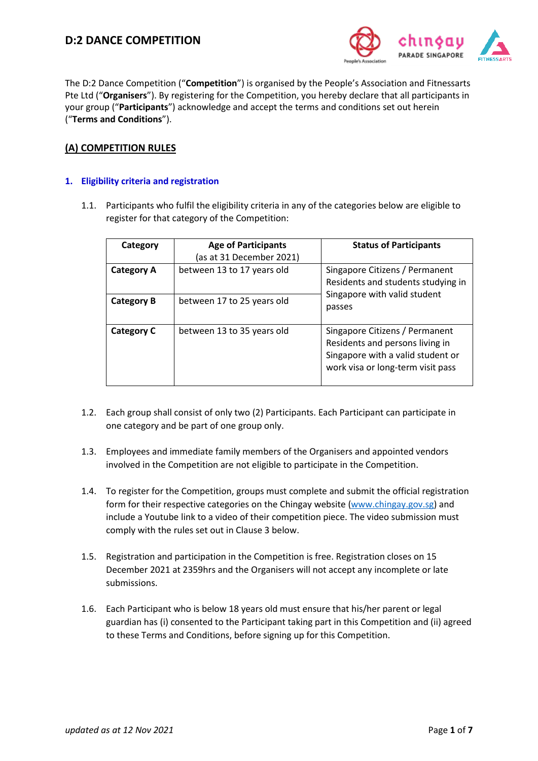

The D:2 Dance Competition ("**Competition**") is organised by the People's Association and Fitnessarts Pte Ltd ("**Organisers**"). By registering for the Competition, you hereby declare that all participants in your group ("**Participants**") acknowledge and accept the terms and conditions set out herein ("**Terms and Conditions**").

# **(A) COMPETITION RULES**

# **1. Eligibility criteria and registration**

1.1. Participants who fulfil the eligibility criteria in any of the categories below are eligible to register for that category of the Competition:

| Category          | <b>Age of Participants</b><br>(as at 31 December 2021) | <b>Status of Participants</b>                                                                                                               |  |
|-------------------|--------------------------------------------------------|---------------------------------------------------------------------------------------------------------------------------------------------|--|
| <b>Category A</b> | between 13 to 17 years old                             | Singapore Citizens / Permanent<br>Residents and students studying in<br>Singapore with valid student<br>passes                              |  |
| <b>Category B</b> | between 17 to 25 years old                             |                                                                                                                                             |  |
| <b>Category C</b> | between 13 to 35 years old                             | Singapore Citizens / Permanent<br>Residents and persons living in<br>Singapore with a valid student or<br>work visa or long-term visit pass |  |

- 1.2. Each group shall consist of only two (2) Participants. Each Participant can participate in one category and be part of one group only.
- 1.3. Employees and immediate family members of the Organisers and appointed vendors involved in the Competition are not eligible to participate in the Competition.
- 1.4. To register for the Competition, groups must complete and submit the official registration form for their respective categories on the Chingay website [\(www.chingay.gov.sg\)](http://www.chingay.gov.sg/) and include a Youtube link to a video of their competition piece. The video submission must comply with the rules set out in Clause 3 below.
- 1.5. Registration and participation in the Competition is free. Registration closes on 15 December 2021 at 2359hrs and the Organisers will not accept any incomplete or late submissions.
- 1.6. Each Participant who is below 18 years old must ensure that his/her parent or legal guardian has (i) consented to the Participant taking part in this Competition and (ii) agreed to these Terms and Conditions, before signing up for this Competition.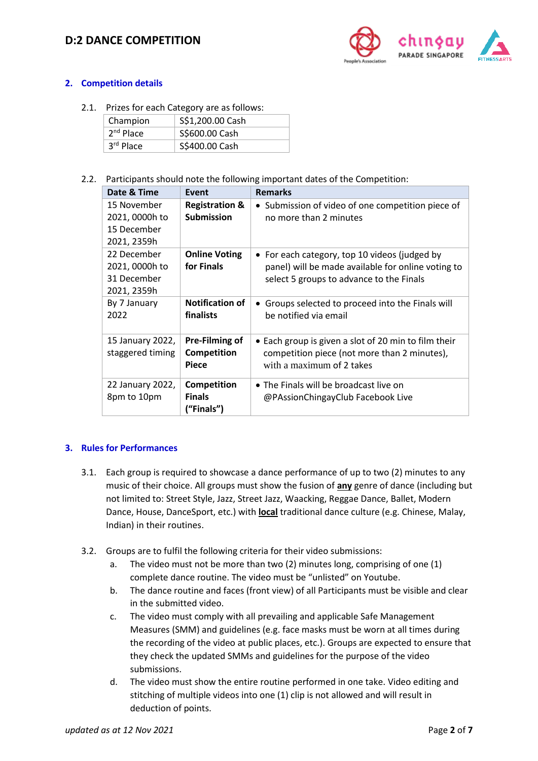# **D:2 DANCE COMPETITION**



### **2. Competition details**

2.1. Prizes for each Category are as follows:

| Champion    | S\$1,200.00 Cash |
|-------------|------------------|
| $2nd$ Place | S\$600.00 Cash   |
| 3rd Place   | S\$400.00 Cash   |

2.2. Participants should note the following important dates of the Competition:

| Date & Time                                                 | Event                                          | <b>Remarks</b>                                                                                                                                  |
|-------------------------------------------------------------|------------------------------------------------|-------------------------------------------------------------------------------------------------------------------------------------------------|
| 15 November<br>2021, 0000h to<br>15 December<br>2021, 2359h | <b>Registration &amp;</b><br><b>Submission</b> | • Submission of video of one competition piece of<br>no more than 2 minutes                                                                     |
| 22 December<br>2021, 0000h to<br>31 December<br>2021, 2359h | <b>Online Voting</b><br>for Finals             | • For each category, top 10 videos (judged by<br>panel) will be made available for online voting to<br>select 5 groups to advance to the Finals |
| By 7 January<br>2022                                        | <b>Notification of</b><br>finalists            | Groups selected to proceed into the Finals will<br>be notified via email                                                                        |
| 15 January 2022,<br>staggered timing                        | Pre-Filming of<br>Competition<br><b>Piece</b>  | • Each group is given a slot of 20 min to film their<br>competition piece (not more than 2 minutes),<br>with a maximum of 2 takes               |
| 22 January 2022,<br>8pm to 10pm                             | Competition<br><b>Finals</b><br>("Finals")     | • The Finals will be broadcast live on<br>@PAssionChingayClub Facebook Live                                                                     |

#### **3. Rules for Performances**

- 3.1. Each group is required to showcase a dance performance of up to two (2) minutes to any music of their choice. All groups must show the fusion of **any** genre of dance (including but not limited to: Street Style, Jazz, Street Jazz, Waacking, Reggae Dance, Ballet, Modern Dance, House, DanceSport, etc.) with **local** traditional dance culture (e.g. Chinese, Malay, Indian) in their routines.
- 3.2. Groups are to fulfil the following criteria for their video submissions:
	- a. The video must not be more than two (2) minutes long, comprising of one (1) complete dance routine. The video must be "unlisted" on Youtube.
	- b. The dance routine and faces (front view) of all Participants must be visible and clear in the submitted video.
	- c. The video must comply with all prevailing and applicable Safe Management Measures (SMM) and guidelines (e.g. face masks must be worn at all times during the recording of the video at public places, etc.). Groups are expected to ensure that they check the updated SMMs and guidelines for the purpose of the video submissions.
	- d. The video must show the entire routine performed in one take. Video editing and stitching of multiple videos into one (1) clip is not allowed and will result in deduction of points.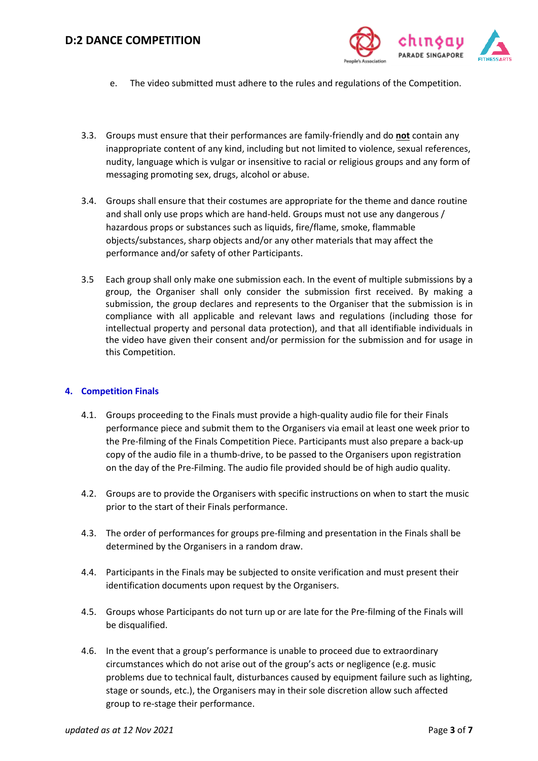

- e. The video submitted must adhere to the rules and regulations of the Competition.
- 3.3. Groups must ensure that their performances are family-friendly and do **not** contain any inappropriate content of any kind, including but not limited to violence, sexual references, nudity, language which is vulgar or insensitive to racial or religious groups and any form of messaging promoting sex, drugs, alcohol or abuse.
- 3.4. Groups shall ensure that their costumes are appropriate for the theme and dance routine and shall only use props which are hand-held. Groups must not use any dangerous / hazardous props or substances such as liquids, fire/flame, smoke, flammable objects/substances, sharp objects and/or any other materials that may affect the performance and/or safety of other Participants.
- 3.5 Each group shall only make one submission each. In the event of multiple submissions by a group, the Organiser shall only consider the submission first received. By making a submission, the group declares and represents to the Organiser that the submission is in compliance with all applicable and relevant laws and regulations (including those for intellectual property and personal data protection), and that all identifiable individuals in the video have given their consent and/or permission for the submission and for usage in this Competition.

#### **4. Competition Finals**

- 4.1. Groups proceeding to the Finals must provide a high-quality audio file for their Finals performance piece and submit them to the Organisers via email at least one week prior to the Pre-filming of the Finals Competition Piece. Participants must also prepare a back-up copy of the audio file in a thumb-drive, to be passed to the Organisers upon registration on the day of the Pre-Filming. The audio file provided should be of high audio quality.
- 4.2. Groups are to provide the Organisers with specific instructions on when to start the music prior to the start of their Finals performance.
- 4.3. The order of performances for groups pre-filming and presentation in the Finals shall be determined by the Organisers in a random draw.
- 4.4. Participants in the Finals may be subjected to onsite verification and must present their identification documents upon request by the Organisers.
- 4.5. Groups whose Participants do not turn up or are late for the Pre-filming of the Finals will be disqualified.
- 4.6. In the event that a group's performance is unable to proceed due to extraordinary circumstances which do not arise out of the group's acts or negligence (e.g. music problems due to technical fault, disturbances caused by equipment failure such as lighting, stage or sounds, etc.), the Organisers may in their sole discretion allow such affected group to re-stage their performance.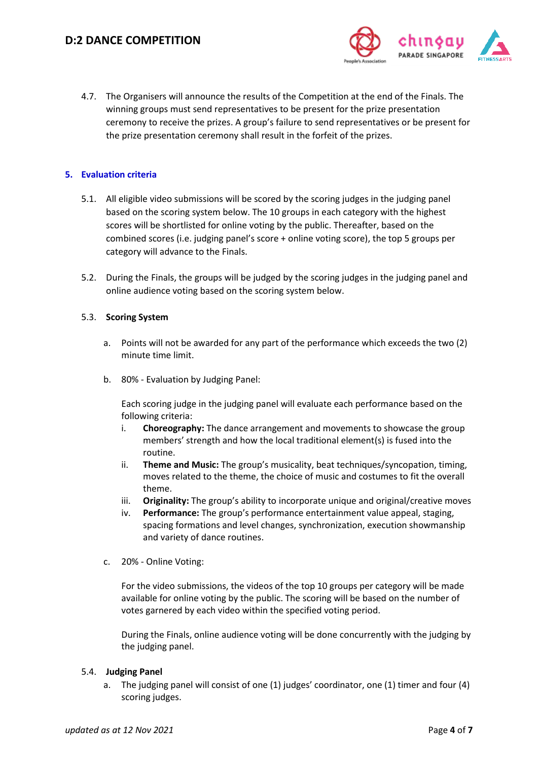

4.7. The Organisers will announce the results of the Competition at the end of the Finals. The winning groups must send representatives to be present for the prize presentation ceremony to receive the prizes. A group's failure to send representatives or be present for the prize presentation ceremony shall result in the forfeit of the prizes.

### **5. Evaluation criteria**

- 5.1. All eligible video submissions will be scored by the scoring judges in the judging panel based on the scoring system below. The 10 groups in each category with the highest scores will be shortlisted for online voting by the public. Thereafter, based on the combined scores (i.e. judging panel's score + online voting score), the top 5 groups per category will advance to the Finals.
- 5.2. During the Finals, the groups will be judged by the scoring judges in the judging panel and online audience voting based on the scoring system below.

#### 5.3. **Scoring System**

- a. Points will not be awarded for any part of the performance which exceeds the two (2) minute time limit.
- b. 80% Evaluation by Judging Panel:

Each scoring judge in the judging panel will evaluate each performance based on the following criteria:

- i. **Choreography:** The dance arrangement and movements to showcase the group members' strength and how the local traditional element(s) is fused into the routine.
- ii. **Theme and Music:** The group's musicality, beat techniques/syncopation, timing, moves related to the theme, the choice of music and costumes to fit the overall theme.
- iii. **Originality:** The group's ability to incorporate unique and original/creative moves
- iv. **Performance:** The group's performance entertainment value appeal, staging, spacing formations and level changes, synchronization, execution showmanship and variety of dance routines.
- c. 20% Online Voting:

For the video submissions, the videos of the top 10 groups per category will be made available for online voting by the public. The scoring will be based on the number of votes garnered by each video within the specified voting period.

During the Finals, online audience voting will be done concurrently with the judging by the judging panel.

#### 5.4. **Judging Panel**

a. The judging panel will consist of one (1) judges' coordinator, one (1) timer and four (4) scoring judges.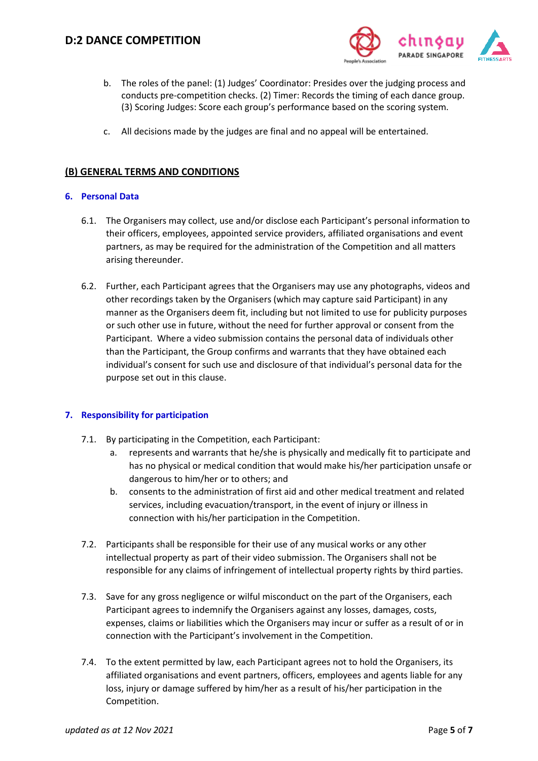

- b. The roles of the panel: (1) Judges' Coordinator: Presides over the judging process and conducts pre-competition checks. (2) Timer: Records the timing of each dance group. (3) Scoring Judges: Score each group's performance based on the scoring system.
- c. All decisions made by the judges are final and no appeal will be entertained.

## **(B) GENERAL TERMS AND CONDITIONS**

#### **6. Personal Data**

- 6.1. The Organisers may collect, use and/or disclose each Participant's personal information to their officers, employees, appointed service providers, affiliated organisations and event partners, as may be required for the administration of the Competition and all matters arising thereunder.
- 6.2. Further, each Participant agrees that the Organisers may use any photographs, videos and other recordings taken by the Organisers (which may capture said Participant) in any manner as the Organisers deem fit, including but not limited to use for publicity purposes or such other use in future, without the need for further approval or consent from the Participant. Where a video submission contains the personal data of individuals other than the Participant, the Group confirms and warrants that they have obtained each individual's consent for such use and disclosure of that individual's personal data for the purpose set out in this clause.

#### **7. Responsibility for participation**

- 7.1. By participating in the Competition, each Participant:
	- a. represents and warrants that he/she is physically and medically fit to participate and has no physical or medical condition that would make his/her participation unsafe or dangerous to him/her or to others; and
	- b. consents to the administration of first aid and other medical treatment and related services, including evacuation/transport, in the event of injury or illness in connection with his/her participation in the Competition.
- 7.2. Participants shall be responsible for their use of any musical works or any other intellectual property as part of their video submission. The Organisers shall not be responsible for any claims of infringement of intellectual property rights by third parties.
- 7.3. Save for any gross negligence or wilful misconduct on the part of the Organisers, each Participant agrees to indemnify the Organisers against any losses, damages, costs, expenses, claims or liabilities which the Organisers may incur or suffer as a result of or in connection with the Participant's involvement in the Competition.
- 7.4. To the extent permitted by law, each Participant agrees not to hold the Organisers, its affiliated organisations and event partners, officers, employees and agents liable for any loss, injury or damage suffered by him/her as a result of his/her participation in the Competition.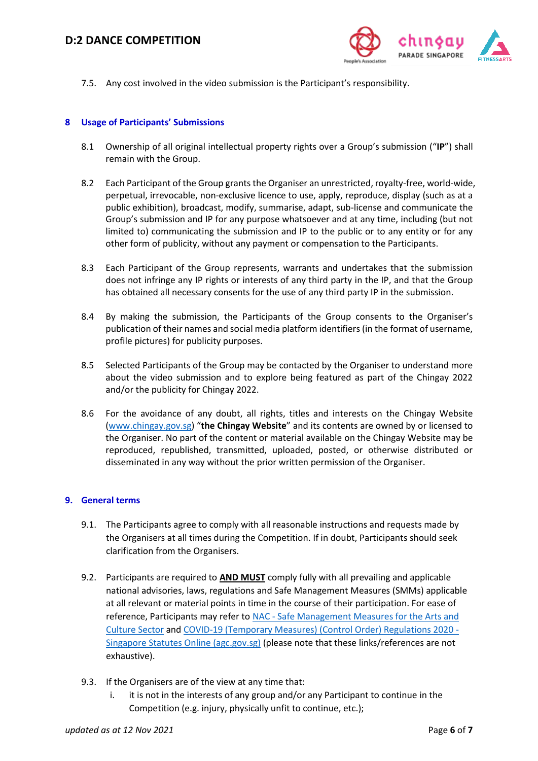

7.5. Any cost involved in the video submission is the Participant's responsibility.

#### **8 Usage of Participants' Submissions**

- 8.1 Ownership of all original intellectual property rights over a Group's submission ("**IP**") shall remain with the Group.
- 8.2 Each Participant of the Group grants the Organiser an unrestricted, royalty-free, world-wide, perpetual, irrevocable, non-exclusive licence to use, apply, reproduce, display (such as at a public exhibition), broadcast, modify, summarise, adapt, sub-license and communicate the Group's submission and IP for any purpose whatsoever and at any time, including (but not limited to) communicating the submission and IP to the public or to any entity or for any other form of publicity, without any payment or compensation to the Participants.
- 8.3 Each Participant of the Group represents, warrants and undertakes that the submission does not infringe any IP rights or interests of any third party in the IP, and that the Group has obtained all necessary consents for the use of any third party IP in the submission.
- 8.4 By making the submission, the Participants of the Group consents to the Organiser's publication of their names and social media platform identifiers (in the format of username, profile pictures) for publicity purposes.
- 8.5 Selected Participants of the Group may be contacted by the Organiser to understand more about the video submission and to explore being featured as part of the Chingay 2022 and/or the publicity for Chingay 2022.
- 8.6 For the avoidance of any doubt, all rights, titles and interests on the Chingay Website [\(www.chingay.gov.sg](http://www.chingay.gov.sg/)) "**the Chingay Website**" and its contents are owned by or licensed to the Organiser. No part of the content or material available on the Chingay Website may be reproduced, republished, transmitted, uploaded, posted, or otherwise distributed or disseminated in any way without the prior written permission of the Organiser.

#### **9. General terms**

- 9.1. The Participants agree to comply with all reasonable instructions and requests made by the Organisers at all times during the Competition. If in doubt, Participants should seek clarification from the Organisers.
- 9.2. Participants are required to **AND MUST** comply fully with all prevailing and applicable national advisories, laws, regulations and Safe Management Measures (SMMs) applicable at all relevant or material points in time in the course of their participation. For ease of reference, Participants may refer to NAC - Safe Management Measures for the Arts and [Culture Sector](https://www.nac.gov.sg/whatwedo/support/sustaining-the-arts-during-covid-19/Safe-Management-Measures-for-the-Arts-and-Culture-Sector.html) and [COVID-19 \(Temporary Measures\) \(Control Order\) Regulations 2020 -](https://sso.agc.gov.sg/SL/COVID19TMA2020-S254-2020?DocDate=20210907#top) [Singapore Statutes Online \(agc.gov.sg\)](https://sso.agc.gov.sg/SL/COVID19TMA2020-S254-2020?DocDate=20210907#top) (please note that these links/references are not exhaustive).
- 9.3. If the Organisers are of the view at any time that:
	- i. it is not in the interests of any group and/or any Participant to continue in the Competition (e.g. injury, physically unfit to continue, etc.);